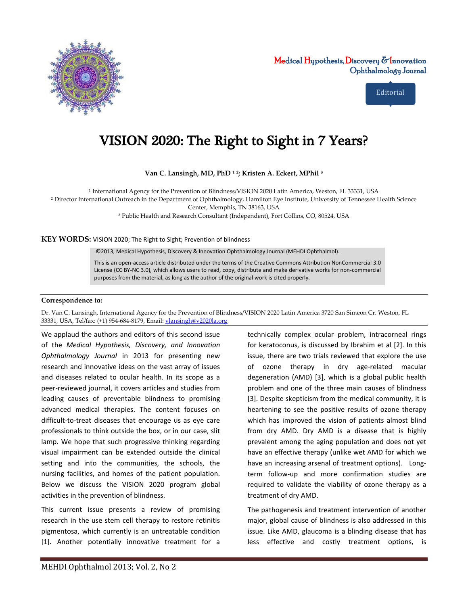

Medical Hypothesis, Discovery  $\delta$ Innovation Ophthalmology Journal

Editorial

## VISION 2020: The Right to Sight in 7 Years?

**Van C. Lansingh, MD, PhD ¹ ²; Kristen A. Eckert, MPhil ³**

<sup>1</sup> International Agency for the Prevention of Blindness/VISION 2020 Latin America, Weston, FL 33331, USA

² Director International Outreach in the Department of Ophthalmology, Hamilton Eye Institute, University of Tennessee Health Science

Center, Memphis, TN 38163, USA

³ Public Health and Research Consultant (Independent), Fort Collins, CO, 80524, USA

**KEY WORDS:** VISION 2020; The Right to Sight; Prevention of blindness

©2013, Medical Hypothesis, Discovery & Innovation Ophthalmology Journal (MEHDI Ophthalmol).

This is an open-access article distributed under the terms of the Creative Commons Attribution NonCommercial 3.0 License (CC BY-NC 3.0), which allows users to read, copy, distribute and make derivative works for non-commercial purposes from the material, as long as the author of the original work is cited properly.

## **Correspondence to:**

Dr. Van C. Lansingh, International Agency for the Prevention of Blindness/VISION 2020 Latin America 3720 San Simeon Cr. Weston, FL 33331, USA, Tel/fax: (+1) 954-684-8179, Email[: vlansingh@v2020la.org](mailto:vlansingh@v2020la.org)

We applaud the authors and editors of this second issue of the *Medical Hypothesis, Discovery, and Innovation Ophthalmology Journal* in 2013 for presenting new research and innovative ideas on the vast array of issues and diseases related to ocular health. In its scope as a peer-reviewed journal, it covers articles and studies from leading causes of preventable blindness to promising advanced medical therapies. The content focuses on difficult-to-treat diseases that encourage us as eye care professionals to think outside the box, or in our case, slit lamp. We hope that such progressive thinking regarding visual impairment can be extended outside the clinical setting and into the communities, the schools, the nursing facilities, and homes of the patient population. Below we discuss the VISION 2020 program global activities in the prevention of blindness.

This current issue presents a review of promising research in the use stem cell therapy to restore retinitis pigmentosa, which currently is an untreatable condition [1]. Another potentially innovative treatment for a

technically complex ocular problem, intracorneal rings for keratoconus, is discussed by Ibrahim et al [2]. In this issue, there are two trials reviewed that explore the use of ozone therapy in dry age-related macular degeneration (AMD) [3], which is a global public health problem and one of the three main causes of blindness [3]. Despite skepticism from the medical community, it is heartening to see the positive results of ozone therapy which has improved the vision of patients almost blind from dry AMD. Dry AMD is a disease that is highly prevalent among the aging population and does not yet have an effective therapy (unlike wet AMD for which we have an increasing arsenal of treatment options). Longterm follow-up and more confirmation studies are required to validate the viability of ozone therapy as a treatment of dry AMD.

The pathogenesis and treatment intervention of another major, global cause of blindness is also addressed in this issue. Like AMD, glaucoma is a blinding disease that has less effective and costly treatment options, is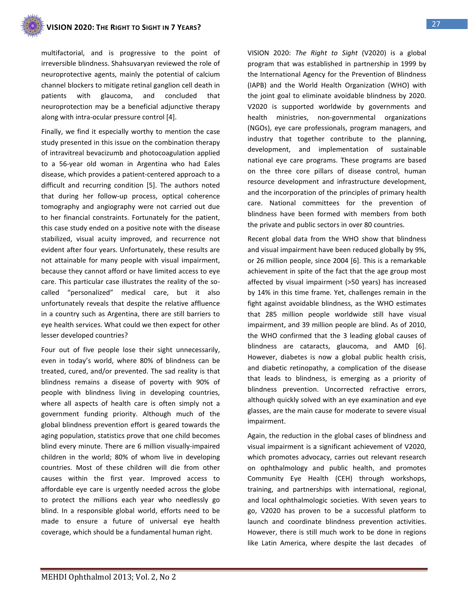multifactorial, and is progressive to the point of irreversible blindness. Shahsuvaryan reviewed the role of neuroprotective agents, mainly the potential of calcium channel blockers to mitigate retinal ganglion cell death in patients with glaucoma, and concluded that neuroprotection may be a beneficial adjunctive therapy along with intra-ocular pressure control [4].

Finally, we find it especially worthy to mention the case study presented in this issue on the combination therapy of intravitreal bevacizumb and photocoagulation applied to a 56-year old woman in Argentina who had Eales disease, which provides a patient-centered approach to a difficult and recurring condition [5]. The authors noted that during her follow-up process, optical coherence tomography and angiography were not carried out due to her financial constraints. Fortunately for the patient, this case study ended on a positive note with the disease stabilized, visual acuity improved, and recurrence not evident after four years. Unfortunately, these results are not attainable for many people with visual impairment, because they cannot afford or have limited access to eye care. This particular case illustrates the reality of the socalled "personalized" medical care, but it also unfortunately reveals that despite the relative affluence in a country such as Argentina, there are still barriers to eye health services. What could we then expect for other lesser developed countries?

Four out of five people lose their sight unnecessarily, even in today's world, where 80% of blindness can be treated, cured, and/or prevented. The sad reality is that blindness remains a disease of poverty with 90% of people with blindness living in developing countries, where all aspects of health care is often simply not a government funding priority. Although much of the global blindness prevention effort is geared towards the aging population, statistics prove that one child becomes blind every minute. There are 6 million visually-impaired children in the world; 80% of whom live in developing countries. Most of these children will die from other causes within the first year. Improved access to affordable eye care is urgently needed across the globe to protect the millions each year who needlessly go blind. In a responsible global world, efforts need to be made to ensure a future of universal eye health coverage, which should be a fundamental human right.

VISION 2020: *The Right to Sight* (V2020) is a global program that was established in partnership in 1999 by the International Agency for the Prevention of Blindness (IAPB) and the World Health Organization (WHO) with the joint goal to eliminate avoidable blindness by 2020. V2020 is supported worldwide by governments and health ministries, non-governmental organizations (NGOs), eye care professionals, program managers, and industry that together contribute to the planning, development, and implementation of sustainable national eye care programs. These programs are based on the three core pillars of disease control, human resource development and infrastructure development, and the incorporation of the principles of primary health care. National committees for the prevention of blindness have been formed with members from both the private and public sectors in over 80 countries.

Recent global data from the WHO show that blindness and visual impairment have been reduced globally by 9%, or 26 million people, since 2004 [6]. This is a remarkable achievement in spite of the fact that the age group most affected by visual impairment (>50 years) has increased by 14% in this time frame. Yet, challenges remain in the fight against avoidable blindness, as the WHO estimates that 285 million people worldwide still have visual impairment, and 39 million people are blind. As of 2010, the WHO confirmed that the 3 leading global causes of blindness are cataracts, glaucoma, and AMD [6]. However, diabetes is now a global public health crisis, and diabetic retinopathy, a complication of the disease that leads to blindness, is emerging as a priority of blindness prevention. Uncorrected refractive errors, although quickly solved with an eye examination and eye glasses, are the main cause for moderate to severe visual impairment.

Again, the reduction in the global cases of blindness and visual impairment is a significant achievement of V2020, which promotes advocacy, carries out relevant research on ophthalmology and public health, and promotes Community Eye Health (CEH) through workshops, training, and partnerships with international, regional, and local ophthalmologic societies. With seven years to go, V2020 has proven to be a successful platform to launch and coordinate blindness prevention activities. However, there is still much work to be done in regions like Latin America, where despite the last decades of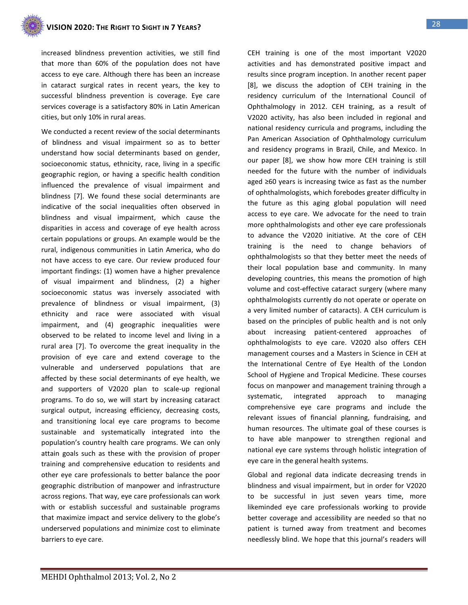increased blindness prevention activities, we still find that more than 60% of the population does not have access to eye care. Although there has been an increase in cataract surgical rates in recent years, the key to successful blindness prevention is coverage. Eye care services coverage is a satisfactory 80% in Latin American cities, but only 10% in rural areas.

We conducted a recent review of the social determinants of blindness and visual impairment so as to better understand how social determinants based on gender, socioeconomic status, ethnicity, race, living in a specific geographic region, or having a specific health condition influenced the prevalence of visual impairment and blindness [7]. We found these social determinants are indicative of the social inequalities often observed in blindness and visual impairment, which cause the disparities in access and coverage of eye health across certain populations or groups. An example would be the rural, indigenous communities in Latin America, who do not have access to eye care. Our review produced four important findings: (1) women have a higher prevalence of visual impairment and blindness, (2) a higher socioeconomic status was inversely associated with prevalence of blindness or visual impairment, (3) ethnicity and race were associated with visual impairment, and (4) geographic inequalities were observed to be related to income level and living in a rural area [7]. To overcome the great inequality in the provision of eye care and extend coverage to the vulnerable and underserved populations that are affected by these social determinants of eye health, we and supporters of V2020 plan to scale-up regional programs. To do so, we will start by increasing cataract surgical output, increasing efficiency, decreasing costs, and transitioning local eye care programs to become sustainable and systematically integrated into the population's country health care programs. We can only attain goals such as these with the provision of proper training and comprehensive education to residents and other eye care professionals to better balance the poor geographic distribution of manpower and infrastructure across regions. That way, eye care professionals can work with or establish successful and sustainable programs that maximize impact and service delivery to the globe's underserved populations and minimize cost to eliminate barriers to eye care.

CEH training is one of the most important V2020 activities and has demonstrated positive impact and results since program inception. In another recent paper [8], we discuss the adoption of CEH training in the residency curriculum of the International Council of Ophthalmology in 2012. CEH training, as a result of V2020 activity, has also been included in regional and national residency curricula and programs, including the Pan American Association of Ophthalmology curriculum and residency programs in Brazil, Chile, and Mexico. In our paper [8], we show how more CEH training is still needed for the future with the number of individuals aged ≥60 years is increasing twice as fast as the number of ophthalmologists, which forebodes greater difficulty in the future as this aging global population will need access to eye care. We advocate for the need to train more ophthalmologists and other eye care professionals to advance the V2020 initiative. At the core of CEH training is the need to change behaviors of ophthalmologists so that they better meet the needs of their local population base and community. In many developing countries, this means the promotion of high volume and cost-effective cataract surgery (where many ophthalmologists currently do not operate or operate on a very limited number of cataracts). A CEH curriculum is based on the principles of public health and is not only about increasing patient-centered approaches of ophthalmologists to eye care. V2020 also offers CEH management courses and a Masters in Science in CEH at the International Centre of Eye Health of the London School of Hygiene and Tropical Medicine. These courses focus on manpower and management training through a systematic, integrated approach to managing comprehensive eye care programs and include the relevant issues of financial planning, fundraising, and human resources. The ultimate goal of these courses is to have able manpower to strengthen regional and national eye care systems through holistic integration of eye care in the general health systems.

Global and regional data indicate decreasing trends in blindness and visual impairment, but in order for V2020 to be successful in just seven years time, more likeminded eye care professionals working to provide better coverage and accessibility are needed so that no patient is turned away from treatment and becomes needlessly blind. We hope that this journal's readers will